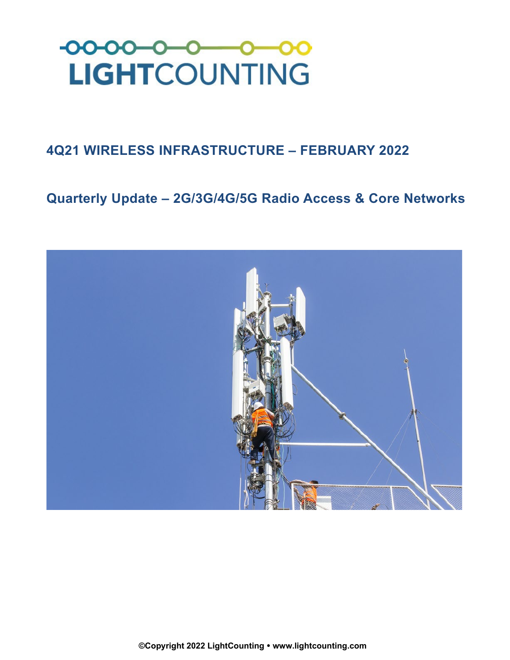

## **4Q21 WIRELESS INFRASTRUCTURE – FEBRUARY 2022**

## **Quarterly Update – 2G/3G/4G/5G Radio Access & Core Networks**



**©Copyright 2022 LightCounting www.lightcounting.com**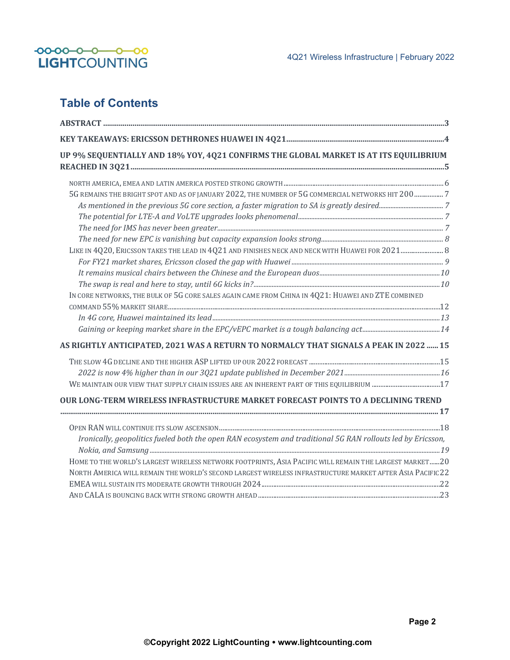

## **Table of Contents**

| UP 9% SEQUENTIALLY AND 18% YOY, 4Q21 CONFIRMS THE GLOBAL MARKET IS AT ITS EQUILIBRIUM                       |  |
|-------------------------------------------------------------------------------------------------------------|--|
|                                                                                                             |  |
| 5G REMAINS THE BRIGHT SPOT AND AS OF JANUARY 2022, THE NUMBER OF 5G COMMERCIAL NETWORKS HIT 200 7           |  |
|                                                                                                             |  |
|                                                                                                             |  |
|                                                                                                             |  |
|                                                                                                             |  |
| LIKE IN 4Q20, ERICSSON TAKES THE LEAD IN 4Q21 AND FINISHES NECK AND NECK WITH HUAWEI FOR 2021 8             |  |
|                                                                                                             |  |
|                                                                                                             |  |
| IN CORE NETWORKS, THE BULK OF 5G CORE SALES AGAIN CAME FROM CHINA IN 4Q21: HUAWEI AND ZTE COMBINED          |  |
|                                                                                                             |  |
|                                                                                                             |  |
|                                                                                                             |  |
| AS RIGHTLY ANTICIPATED, 2021 WAS A RETURN TO NORMALCY THAT SIGNALS A PEAK IN 2022  15                       |  |
|                                                                                                             |  |
|                                                                                                             |  |
|                                                                                                             |  |
| OUR LONG-TERM WIRELESS INFRASTRUCTURE MARKET FORECAST POINTS TO A DECLINING TREND                           |  |
|                                                                                                             |  |
|                                                                                                             |  |
| Ironically, geopolitics fueled both the open RAN ecosystem and traditional 5G RAN rollouts led by Ericsson, |  |
| HOME TO THE WORLD'S LARGEST WIRELESS NETWORK FOOTPRINTS, ASIA PACIFIC WILL REMAIN THE LARGEST MARKET20      |  |
| NORTH AMERICA WILL REMAIN THE WORLD'S SECOND LARGEST WIRELESS INFRASTRUCTURE MARKET AFTER ASIA PACIFIC 22   |  |
|                                                                                                             |  |
|                                                                                                             |  |